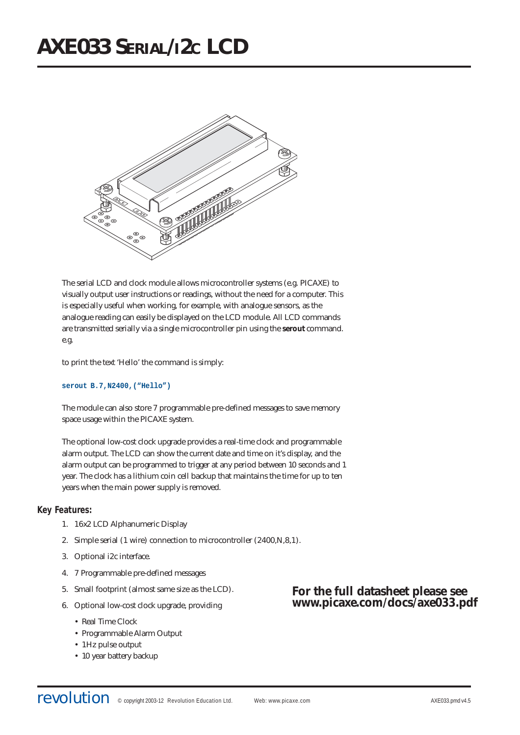

The serial LCD and clock module allows microcontroller systems (e.g. PICAXE) to visually output user instructions or readings, without the need for a computer. This is especially useful when working, for example, with analogue sensors, as the analogue reading can easily be displayed on the LCD module. All LCD commands are transmitted serially via a single microcontroller pin using the **serout** command. e.g.

to print the text 'Hello' the command is simply:

#### **serout B.7,N2400,("Hello")**

The module can also store 7 programmable pre-defined messages to save memory space usage within the PICAXE system.

The optional low-cost clock upgrade provides a real-time clock and programmable alarm output. The LCD can show the current date and time on it's display, and the alarm output can be programmed to trigger at any period between 10 seconds and 1 year. The clock has a lithium coin cell backup that maintains the time for up to ten years when the main power supply is removed.

# **Key Features:**

- 1. 16x2 LCD Alphanumeric Display
- 2. Simple serial (1 wire) connection to microcontroller (2400,N,8,1).
- 3. Optional i2c interface.
- 4. 7 Programmable pre-defined messages
- 5. Small footprint (almost same size as the LCD).
- 6. Optional low-cost clock upgrade, providing
	- Real Time Clock
	- Programmable Alarm Output
	- 1Hz pulse output
	- 10 year battery backup

# **For the full datasheet please see www.picaxe.com/docs/axe033.pdf**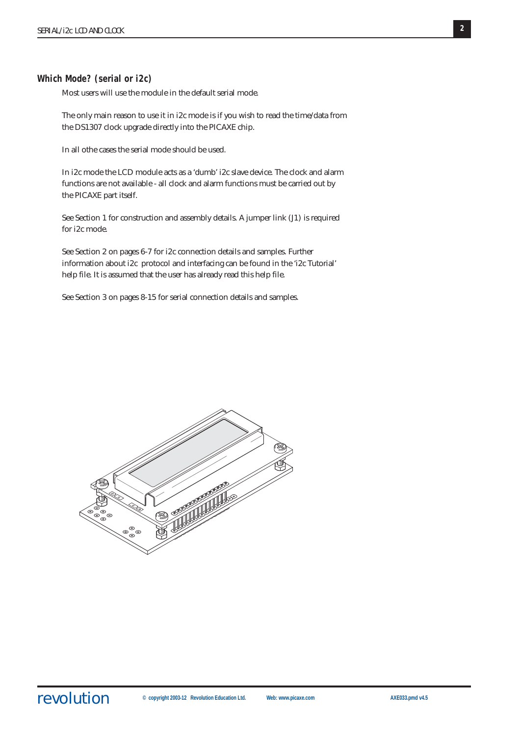# **Which Mode? (serial or i2c)**

Most users will use the module in the default serial mode.

The only main reason to use it in i2c mode is if you wish to read the time/data from the DS1307 clock upgrade directly into the PICAXE chip.

In all othe cases the serial mode should be used.

In i2c mode the LCD module acts as a 'dumb' i2c slave device. The clock and alarm functions are not available - all clock and alarm functions must be carried out by the PICAXE part itself.

See Section 1 for construction and assembly details. A jumper link (J1) is required for i2c mode.

See Section 2 on pages 6-7 for i2c connection details and samples. Further information about i2c protocol and interfacing can be found in the 'i2c Tutorial' help file. It is assumed that the user has already read this help file.

See Section 3 on pages 8-15 for serial connection details and samples.

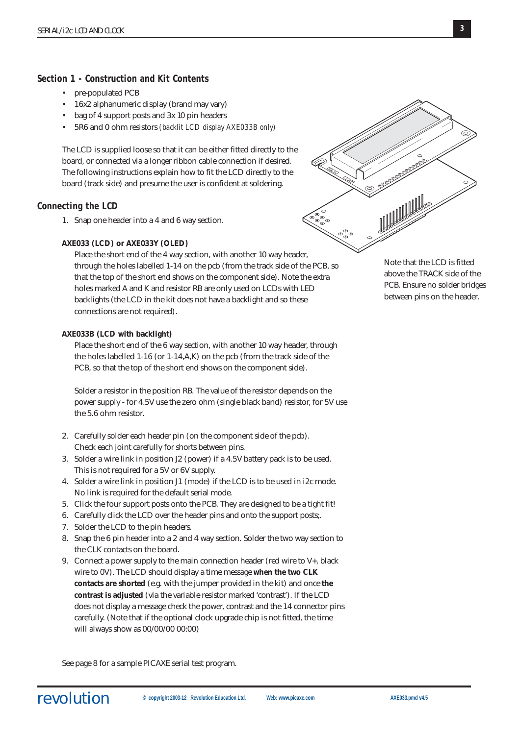# **Section 1 - Construction and Kit Contents**

- pre-populated PCB
- 16x2 alphanumeric display (brand may vary)
- bag of 4 support posts and 3x 10 pin headers
- 5R6 and 0 ohm resistors *(backlit LCD display AXE033B only)*

The LCD is supplied loose so that it can be either fitted directly to the board, or connected via a longer ribbon cable connection if desired. The following instructions explain how to fit the LCD directly to the board (track side) and presume the user is confident at soldering.

# **Connecting the LCD**

1. Snap one header into a 4 and 6 way section.

#### **AXE033 (LCD) or AXE033Y (OLED)**

Place the short end of the 4 way section, with another 10 way header, through the holes labelled 1-14 on the pcb (from the track side of the PCB, so that the top of the short end shows on the component side). Note the extra holes marked A and K and resistor RB are only used on LCDs with LED backlights (the LCD in the kit does not have a backlight and so these connections are not required).

#### **AXE033B (LCD with backlight)**

Place the short end of the 6 way section, with another 10 way header, through the holes labelled 1-16 (or 1-14,A,K) on the pcb (from the track side of the PCB, so that the top of the short end shows on the component side).

Solder a resistor in the position RB. The value of the resistor depends on the power supply - for 4.5V use the zero ohm (single black band) resistor, for 5V use the 5.6 ohm resistor.

- 2. Carefully solder each header pin (on the component side of the pcb). Check each joint carefully for shorts between pins.
- 3. Solder a wire link in position J2 (power) if a 4.5V battery pack is to be used. This is not required for a 5V or 6V supply.
- 4. Solder a wire link in position J1 (mode) if the LCD is to be used in i2c mode. No link is required for the default serial mode.
- 5. Click the four support posts onto the PCB. They are designed to be a tight fit!
- 6. Carefully click the LCD over the header pins and onto the support posts;.
- 7. Solder the LCD to the pin headers.
- 8. Snap the 6 pin header into a 2 and 4 way section. Solder the two way section to the CLK contacts on the board.
- 9. Connect a power supply to the main connection header (red wire to V+, black wire to 0V). The LCD should display a time message **when the two CLK contacts are shorted** (e.g. with the jumper provided in the kit) and once **the contrast is adjusted** (via the variable resistor marked 'contrast'). If the LCD does not display a message check the power, contrast and the 14 connector pins carefully. (Note that if the optional clock upgrade chip is not fitted, the time will always show as 00/00/00 00:00)

See page 8 for a sample PICAXE serial test program.



Note that the LCD is fitted above the TRACK side of the PCB. Ensure no solder bridges between pins on the header.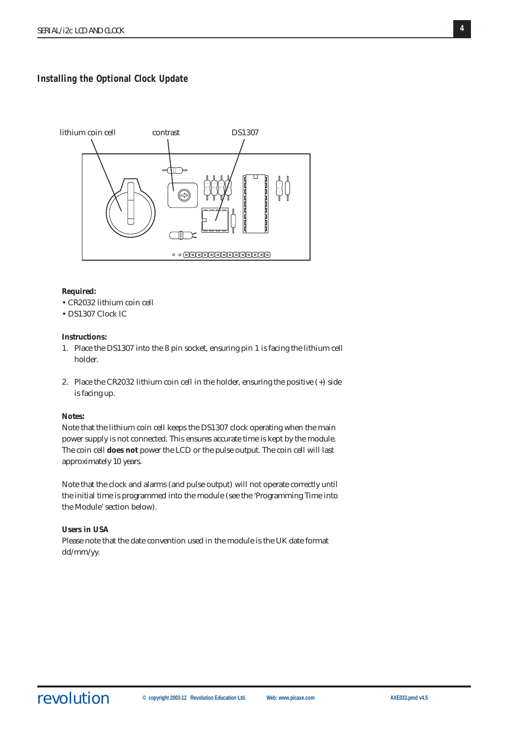# **Installing the Optional Clock Update**



# **Required:**

- CR2032 lithium coin cell
- DS1307 Clock IC

#### **Instructions:**

- 1. Place the DS1307 into the 8 pin socket, ensuring pin 1 is facing the lithium cell holder.
- 2. Place the CR2032 lithium coin cell in the holder, ensuring the positive (+) side is facing up.

### **Notes:**

Note that the lithium coin cell keeps the DS1307 clock operating when the main power supply is not connected. This ensures accurate time is kept by the module. The coin cell **does not** power the LCD or the pulse output. The coin cell will last approximately 10 years.

Note that the clock and alarms (and pulse output) will not operate correctly until the initial time is programmed into the module (see the 'Programming Time into the Module' section below).

# **Users in USA**

Please note that the date convention used in the module is the UK date format dd/mm/yy.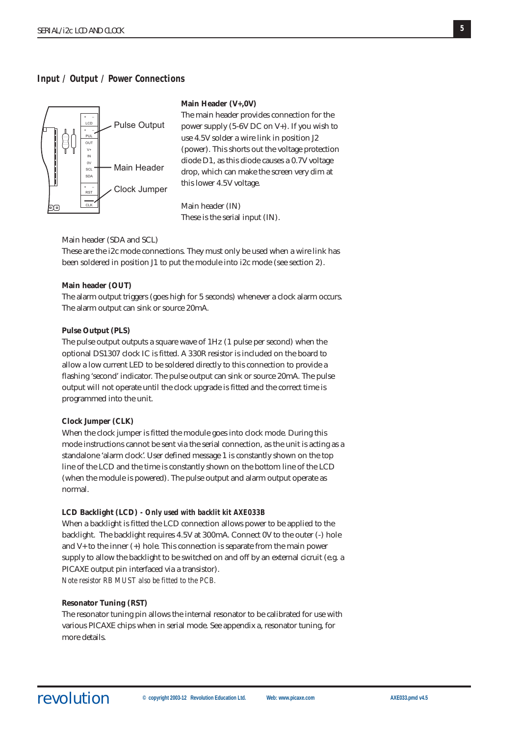# **Input / Output / Power Connections**



#### **Main Header (V+,0V)**

The main header provides connection for the power supply (5-6V DC on V+). If you wish to use 4.5V solder a wire link in position J2 (power). This shorts out the voltage protection diode D1, as this diode causes a 0.7V voltage drop, which can make the screen very dim at this lower 4.5V voltage.

Main header (IN) These is the serial input (IN).

Main header (SDA and SCL)

These are the i2c mode connections. They must only be used when a wire link has been soldered in position J1 to put the module into i2c mode (see section 2).

### **Main header (OUT)**

The alarm output triggers (goes high for 5 seconds) whenever a clock alarm occurs. The alarm output can sink or source 20mA.

#### **Pulse Output (PLS)**

The pulse output outputs a square wave of 1Hz (1 pulse per second) when the optional DS1307 clock IC is fitted. A 330R resistor is included on the board to allow a low current LED to be soldered directly to this connection to provide a flashing 'second' indicator. The pulse output can sink or source 20mA. The pulse output will not operate until the clock upgrade is fitted and the correct time is programmed into the unit.

#### **Clock Jumper (CLK)**

When the clock jumper is fitted the module goes into clock mode. During this mode instructions cannot be sent via the serial connection, as the unit is acting as a standalone 'alarm clock'. User defined message 1 is constantly shown on the top line of the LCD and the time is constantly shown on the bottom line of the LCD (when the module is powered). The pulse output and alarm output operate as normal.

#### **LCD Backlight (LCD)** *- Only used with backlit kit AXE033B*

When a backlight is fitted the LCD connection allows power to be applied to the backlight. The backlight requires 4.5V at 300mA. Connect 0V to the outer (-) hole and V+ to the inner (+) hole. This connection is separate from the main power supply to allow the backlight to be switched on and off by an external cicruit (e.g. a PICAXE output pin interfaced via a transistor). *Note resistor RB MUST also be fitted to the PCB.*

#### **Resonator Tuning (RST)**

The resonator tuning pin allows the internal resonator to be calibrated for use with various PICAXE chips when in serial mode. See appendix a, resonator tuning, for more details.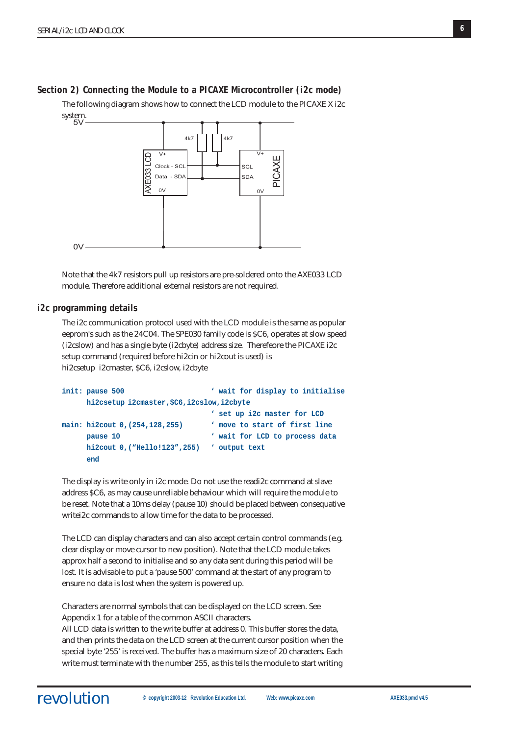# **Section 2) Connecting the Module to a PICAXE Microcontroller (i2c mode)**

The following diagram shows how to connect the LCD module to the PICAXE X i2c system. %



Note that the 4k7 resistors pull up resistors are pre-soldered onto the AXE033 LCD module. Therefore additional external resistors are not required.

#### **i2c programming details**

The i2c communication protocol used with the LCD module is the same as popular eeprom's such as the 24C04. The SPE030 family code is \$C6, operates at slow speed (i2cslow) and has a single byte (i2cbyte) address size. Therefeore the PICAXE i2c setup command (required before hi2cin or hi2cout is used) is hi2csetup i2cmaster, \$C6, i2cslow, i2cbyte

```
init: pause 500 ' wait for display to initialise
     hi2csetup i2cmaster,$C6,i2cslow,i2cbyte
                              ' set up i2c master for LCD
main: hi2cout 0,(254,128,255) ' move to start of first line
     pause 10 ' wait for LCD to process data
     hi2cout 0,("Hello!123",255) ' output text
     end
```
The display is write only in i2c mode. Do not use the readi2c command at slave address \$C6, as may cause unreliable behaviour which will require the module to be reset. Note that a 10ms delay (pause 10) should be placed between consequative writei2c commands to allow time for the data to be processed.

The LCD can display characters and can also accept certain control commands (e.g. clear display or move cursor to new position). Note that the LCD module takes approx half a second to initialise and so any data sent during this period will be lost. It is advisable to put a 'pause 500' command at the start of any program to ensure no data is lost when the system is powered up.

Characters are normal symbols that can be displayed on the LCD screen. See Appendix 1 for a table of the common ASCII characters.

All LCD data is written to the write buffer at address 0. This buffer stores the data, and then prints the data on the LCD screen at the current cursor position when the special byte '255' is received. The buffer has a maximum size of 20 characters. Each write must terminate with the number 255, as this tells the module to start writing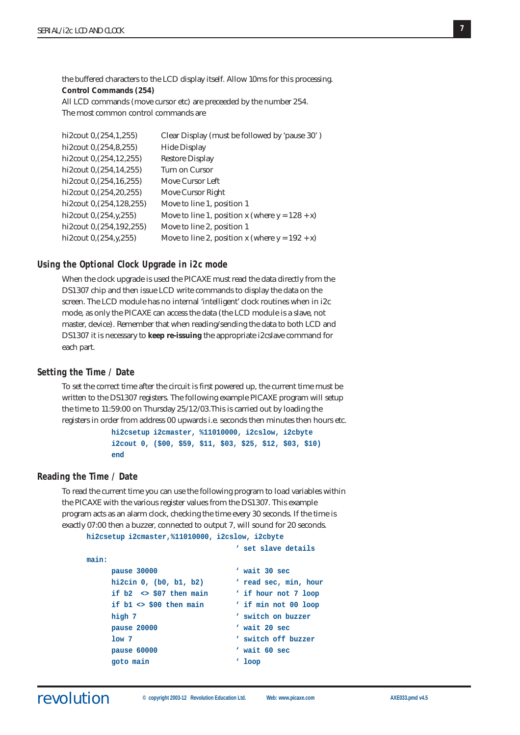the buffered characters to the LCD display itself. Allow 10ms for this processing. **Control Commands (254)** All LCD commands (move cursor etc) are preceeded by the number 254.

The most common control commands are

| Clear Display (must be followed by 'pause 30')    |
|---------------------------------------------------|
| <b>Hide Display</b>                               |
| <b>Restore Display</b>                            |
| Turn on Cursor                                    |
| Move Cursor Left                                  |
| Move Cursor Right                                 |
| Move to line 1, position 1                        |
| Move to line 1, position x (where $y = 128 + x$ ) |
| Move to line 2, position 1                        |
| Move to line 2, position x (where $y = 192 + x$ ) |
|                                                   |

#### **Using the Optional Clock Upgrade in i2c mode**

When the clock upgrade is used the PICAXE must read the data directly from the DS1307 chip and then issue LCD write commands to display the data on the screen. The LCD module has no internal 'intelligent' clock routines when in i2c mode, as only the PICAXE can access the data (the LCD module is a slave, not master, device). Remember that when reading/sending the data to both LCD and DS1307 it is necessary to **keep re-issuing** the appropriate i2cslave command for each part.

# **Setting the Time / Date**

To set the correct time after the circuit is first powered up, the current time must be written to the DS1307 registers. The following example PICAXE program will setup the time to 11:59:00 on Thursday 25/12/03.This is carried out by loading the registers in order from address 00 upwards i.e. seconds then minutes then hours etc.

> **hi2csetup i2cmaster, %11010000, i2cslow, i2cbyte i2cout 0, (\$00, \$59, \$11, \$03, \$25, \$12, \$03, \$10) end**

# **Reading the Time / Date**

To read the current time you can use the following program to load variables within the PICAXE with the various register values from the DS1307. This example program acts as an alarm clock, checking the time every 30 seconds. If the time is exactly 07:00 then a buzzer, connected to output 7, will sound for 20 seconds. **hi2csetup i2cmaster,%11010000, i2cslow, i2cbyte**

```
' set slave details
main:
    pause 30000 ' wait 30 sec
    hi2cin 0, (b0, b1, b2) ' read sec, min, hour
    if b2 <> $07 then main ' if hour not 7 loop
    if b1 <> $00 then main ' if min not 00 loop
    high 7 \qquad ' switch on buzzer
    pause 20000 ' wait 20 sec
    low 7 ' switch off buzzer
    pause 60000 ' wait 60 sec
    goto main ' loop
```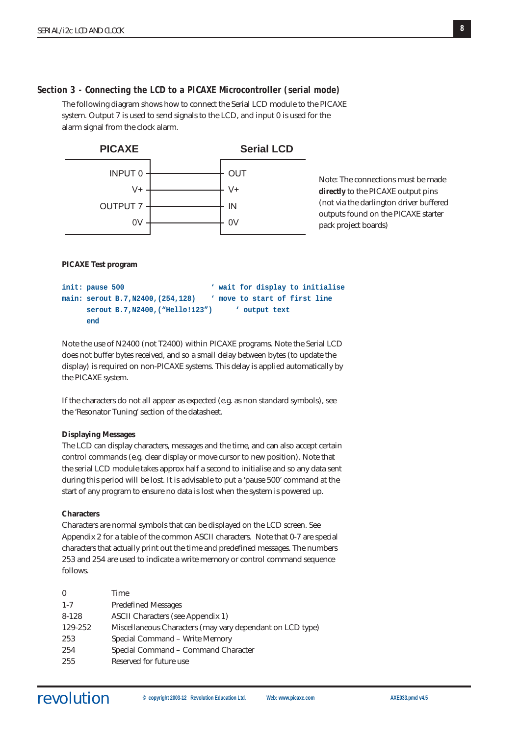# **Section 3 - Connecting the LCD to a PICAXE Microcontroller (serial mode)**

The following diagram shows how to connect the Serial LCD module to the PICAXE system. Output 7 is used to send signals to the LCD, and input 0 is used for the alarm signal from the clock alarm.



Note: The connections must be made **directly** to the PICAXE output pins (not via the darlington driver buffered outputs found on the PICAXE starter pack project boards)

# **PICAXE Test program**

```
init: pause 500 ' wait for display to initialise
main: serout B.7,N2400,(254,128) ' move to start of first line
     serout B.7,N2400,("Hello!123") ' output text
     end
```
Note the use of N2400 (not T2400) within PICAXE programs. Note the Serial LCD does not buffer bytes received, and so a small delay between bytes (to update the display) is required on non-PICAXE systems. This delay is applied automatically by the PICAXE system.

If the characters do not all appear as expected (e.g. as non standard symbols), see the 'Resonator Tuning' section of the datasheet.

# **Displaying Messages**

The LCD can display characters, messages and the time, and can also accept certain control commands (e.g. clear display or move cursor to new position). Note that the serial LCD module takes approx half a second to initialise and so any data sent during this period will be lost. It is advisable to put a 'pause 500' command at the start of any program to ensure no data is lost when the system is powered up.

#### **Characters**

Characters are normal symbols that can be displayed on the LCD screen. See Appendix 2 for a table of the common ASCII characters. Note that 0-7 are special characters that actually print out the time and predefined messages. The numbers 253 and 254 are used to indicate a write memory or control command sequence follows.

| $\theta$  | Time                                                      |
|-----------|-----------------------------------------------------------|
| $1 - 7$   | <b>Predefined Messages</b>                                |
| $8 - 128$ | <b>ASCII Characters (see Appendix 1)</b>                  |
| 129-252   | Miscellaneous Characters (may vary dependant on LCD type) |
| 253       | Special Command - Write Memory                            |
| 254       | Special Command – Command Character                       |
| 255       | Reserved for future use                                   |
|           |                                                           |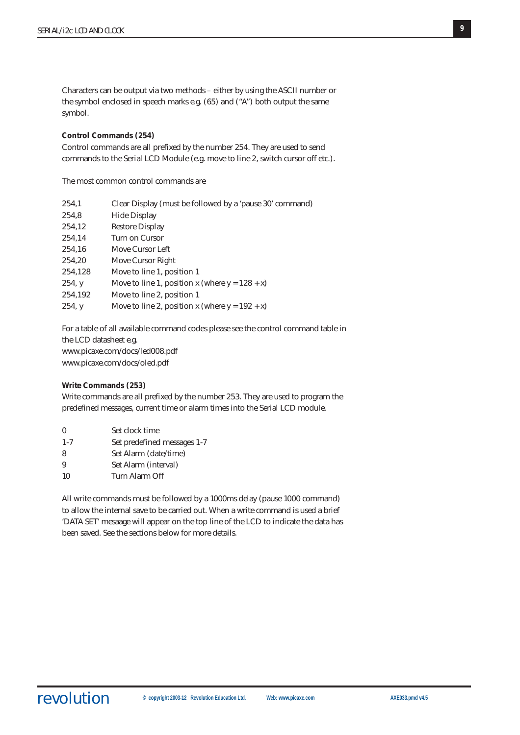Characters can be output via two methods – either by using the ASCII number or the symbol enclosed in speech marks e.g. (65) and ("A") both output the same symbol.

#### **Control Commands (254)**

Control commands are all prefixed by the number 254. They are used to send commands to the Serial LCD Module (e.g. move to line 2, switch cursor off etc.).

The most common control commands are

| 254,1   | Clear Display (must be followed by a 'pause 30' command) |
|---------|----------------------------------------------------------|
| 254,8   | <b>Hide Display</b>                                      |
| 254,12  | <b>Restore Display</b>                                   |
| 254,14  | Turn on Cursor                                           |
| 254,16  | Move Cursor Left                                         |
| 254,20  | Move Cursor Right                                        |
| 254,128 | Move to line 1, position 1                               |
| 254, y  | Move to line 1, position x (where $y = 128 + x$ )        |
| 254,192 | Move to line 2, position 1                               |
| 254, y  | Move to line 2, position x (where $y = 192 + x$ )        |
|         |                                                          |

For a table of all available command codes please see the control command table in the LCD datasheet e.g. www.picaxe.com/docs/led008.pdf www.picaxe.com/docs/oled.pdf

#### **Write Commands (253)**

Write commands are all prefixed by the number 253. They are used to program the predefined messages, current time or alarm times into the Serial LCD module.

| $\theta$ | Set clock time              |
|----------|-----------------------------|
| $1 - 7$  | Set predefined messages 1-7 |
| 8        | Set Alarm (date/time)       |
| 9        | Set Alarm (interval)        |
| 10       | Turn Alarm Off              |
|          |                             |

All write commands must be followed by a 1000ms delay (pause 1000 command) to allow the internal save to be carried out. When a write command is used a brief 'DATA SET' mesaage will appear on the top line of the LCD to indicate the data has been saved. See the sections below for more details.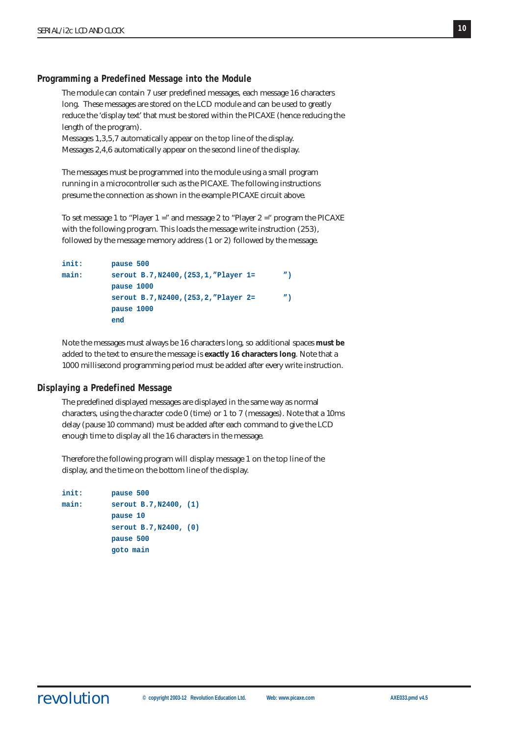# **Programming a Predefined Message into the Module**

The module can contain 7 user predefined messages, each message 16 characters long. These messages are stored on the LCD module and can be used to greatly reduce the 'display text' that must be stored within the PICAXE (hence reducing the length of the program).

Messages 1,3,5,7 automatically appear on the top line of the display. Messages 2,4,6 automatically appear on the second line of the display.

The messages must be programmed into the module using a small program running in a microcontroller such as the PICAXE. The following instructions presume the connection as shown in the example PICAXE circuit above.

To set message 1 to "Player 1 =" and message 2 to "Player 2 =" program the PICAXE with the following program. This loads the message write instruction (253), followed by the message memory address (1 or 2) followed by the message.

```
init: pause 500
main: serout B.7,N2400,(253,1,"Player 1= ")
          pause 1000
          serout B.7,N2400,(253,2,"Player 2= ")
          pause 1000
          end
```
Note the messages must always be 16 characters long, so additional spaces **must be** added to the text to ensure the message is **exactly 16 characters long**. Note that a 1000 millisecond programming period must be added after every write instruction.

# **Displaying a Predefined Message**

The predefined displayed messages are displayed in the same way as normal characters, using the character code 0 (time) or 1 to 7 (messages). Note that a 10ms delay (pause 10 command) must be added after each command to give the LCD enough time to display all the 16 characters in the message.

Therefore the following program will display message 1 on the top line of the display, and the time on the bottom line of the display.

```
init: pause 500
main: serout B.7,N2400, (1)
          pause 10
          serout B.7,N2400, (0)
          pause 500
          goto main
```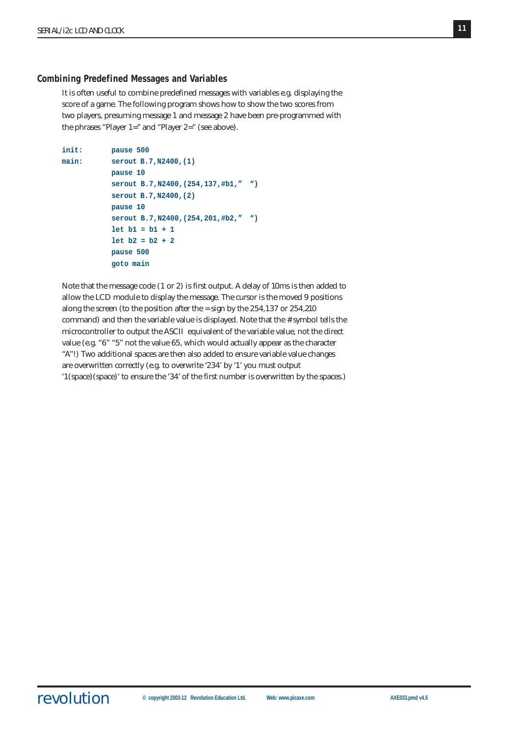# **Combining Predefined Messages and Variables**

It is often useful to combine predefined messages with variables e.g. displaying the score of a game. The following program shows how to show the two scores from two players, presuming message 1 and message 2 have been pre-programmed with the phrases "Player 1=" and "Player 2=" (see above).

```
init: pause 500
main: serout B.7,N2400,(1)
           pause 10
           serout B.7,N2400,(254,137,#b1," ")
           serout B.7,N2400,(2)
           pause 10
           serout B.7,N2400,(254,201,#b2," ")
           let b1 = b1 + 1
           let b2 = b2 + 2
           pause 500
           goto main
```
Note that the message code (1 or 2) is first output. A delay of 10ms is then added to allow the LCD module to display the message. The cursor is the moved 9 positions along the screen (to the position after the = sign by the 254,137 or 254,210 command) and then the variable value is displayed. Note that the # symbol tells the microcontroller to output the ASCII equivalent of the variable value, not the direct value (e.g. "6" "5" not the value 65, which would actually appear as the character "A"!) Two additional spaces are then also added to ensure variable value changes are overwritten correctly (e.g. to overwrite '234' by '1' you must output '1(space)(space)' to ensure the '34' of the first number is overwritten by the spaces.)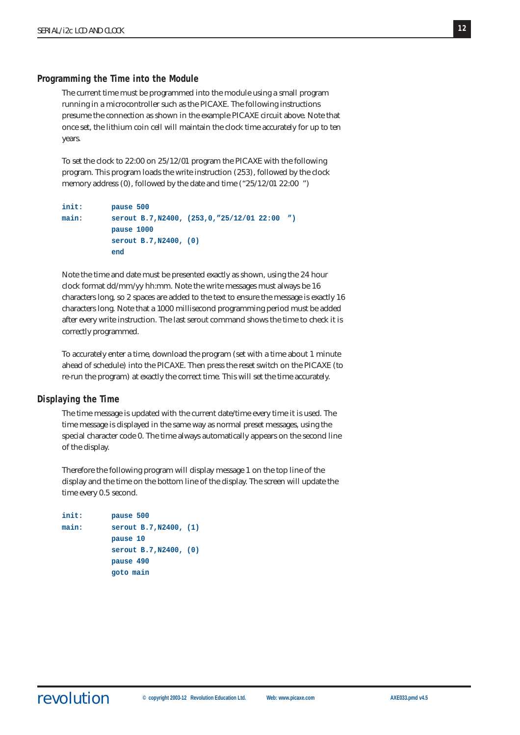#### **Programming the Time into the Module**

The current time must be programmed into the module using a small program running in a microcontroller such as the PICAXE. The following instructions presume the connection as shown in the example PICAXE circuit above. Note that once set, the lithium coin cell will maintain the clock time accurately for up to ten years.

To set the clock to 22:00 on 25/12/01 program the PICAXE with the following program. This program loads the write instruction (253), followed by the clock memory address (0), followed by the date and time ("25/12/01 22:00 ")

```
init: pause 500
main: serout B.7,N2400, (253,0,"25/12/01 22:00 ")
          pause 1000
          serout B.7,N2400, (0)
          end
```
Note the time and date must be presented exactly as shown, using the 24 hour clock format dd/mm/yy hh:mm. Note the write messages must always be 16 characters long, so 2 spaces are added to the text to ensure the message is exactly 16 characters long. Note that a 1000 millisecond programming period must be added after every write instruction. The last serout command shows the time to check it is correctly programmed.

To accurately enter a time, download the program (set with a time about 1 minute ahead of schedule) into the PICAXE. Then press the reset switch on the PICAXE (to re-run the program) at exactly the correct time. This will set the time accurately.

#### **Displaying the Time**

The time message is updated with the current date/time every time it is used. The time message is displayed in the same way as normal preset messages, using the special character code 0. The time always automatically appears on the second line of the display.

Therefore the following program will display message 1 on the top line of the display and the time on the bottom line of the display. The screen will update the time every 0.5 second.

```
init: pause 500
main: serout B.7,N2400, (1)
          pause 10
          serout B.7,N2400, (0)
          pause 490
          goto main
```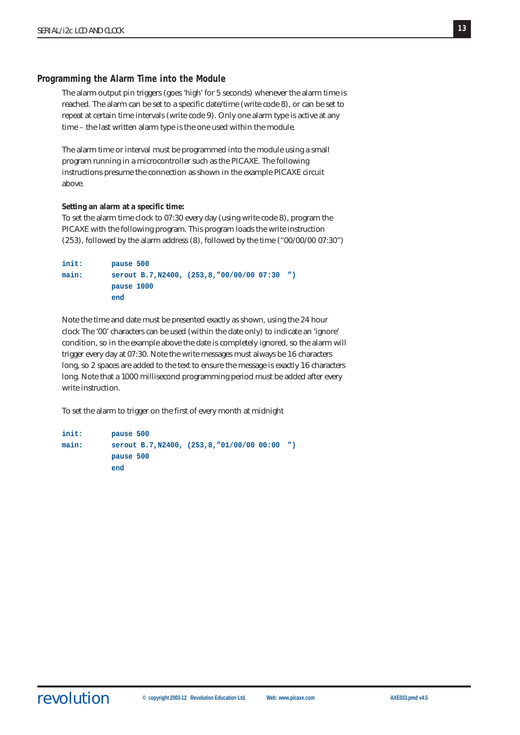# **Programming the Alarm Time into the Module**

The alarm output pin triggers (goes 'high' for 5 seconds) whenever the alarm time is reached. The alarm can be set to a specific date/time (write code 8), or can be set to repeat at certain time intervals (write code 9). Only one alarm type is active at any time – the last written alarm type is the one used within the module.

The alarm time or interval must be programmed into the module using a small program running in a microcontroller such as the PICAXE. The following instructions presume the connection as shown in the example PICAXE circuit above.

#### **Setting an alarm at a specific time:**

To set the alarm time clock to 07:30 every day (using write code 8), program the PICAXE with the following program. This program loads the write instruction (253), followed by the alarm address (8), followed by the time ("00/00/00 07:30")

```
init: pause 500
main: serout B.7,N2400, (253,8,"00/00/00 07:30 ")
          pause 1000
          end
```
Note the time and date must be presented exactly as shown, using the 24 hour clock The '00' characters can be used (within the date only) to indicate an 'ignore' condition, so in the example above the date is completely ignored, so the alarm will trigger every day at 07:30. Note the write messages must always be 16 characters long, so 2 spaces are added to the text to ensure the message is exactly 16 characters long. Note that a 1000 millisecond programming period must be added after every write instruction.

To set the alarm to trigger on the first of every month at midnight

```
init: pause 500
main: serout B.7,N2400, (253,8,"01/00/00 00:00 ")
          pause 500
          end
```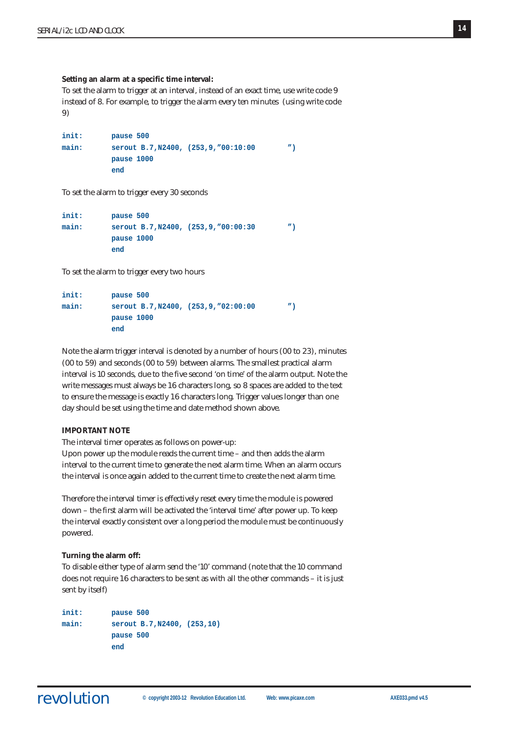**Setting an alarm at a specific time interval:**

To set the alarm to trigger at an interval, instead of an exact time, use write code 9 instead of 8. For example, to trigger the alarm every ten minutes (using write code 9)

```
init: pause 500
main: serout B.7,N2400, (253,9,"00:10:00 ")
         pause 1000
         end
```
To set the alarm to trigger every 30 seconds

```
init: pause 500
main: serout B.7,N2400, (253,9,"00:00:30 ")
         pause 1000
         end
```
To set the alarm to trigger every two hours

```
init: pause 500
main: serout B.7,N2400, (253,9,"02:00:00 ")
         pause 1000
         end
```
Note the alarm trigger interval is denoted by a number of hours (00 to 23), minutes (00 to 59) and seconds (00 to 59) between alarms. The smallest practical alarm interval is 10 seconds, due to the five second 'on time' of the alarm output. Note the write messages must always be 16 characters long, so 8 spaces are added to the text to ensure the message is exactly 16 characters long. Trigger values longer than one day should be set using the time and date method shown above.

#### **IMPORTANT NOTE**

The interval timer operates as follows on power-up:

Upon power up the module reads the current time – and then adds the alarm interval to the current time to generate the next alarm time. When an alarm occurs the interval is once again added to the current time to create the next alarm time.

Therefore the interval timer is effectively reset every time the module is powered down – the first alarm will be activated the 'interval time' after power up. To keep the interval exactly consistent over a long period the module must be continuously powered.

#### **Turning the alarm off:**

To disable either type of alarm send the '10' command (note that the 10 command does not require 16 characters to be sent as with all the other commands – it is just sent by itself)

```
init: pause 500
main: serout B.7,N2400, (253,10)
          pause 500
          end
```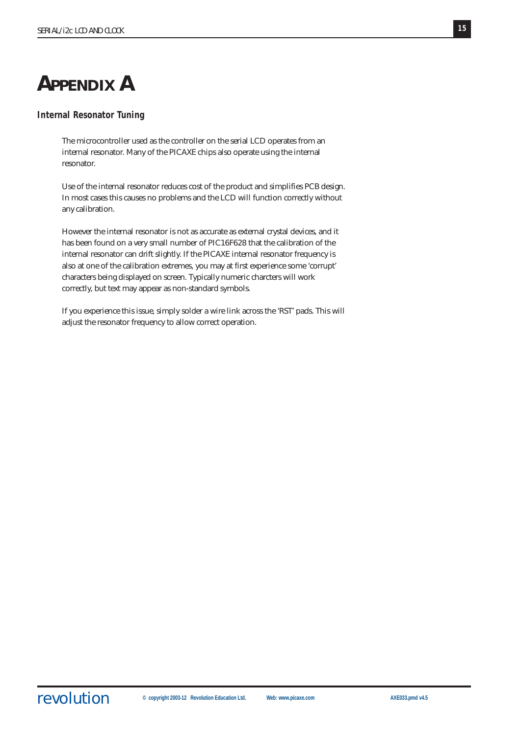# **APPENDIX A**

# **Internal Resonator Tuning**

The microcontroller used as the controller on the serial LCD operates from an internal resonator. Many of the PICAXE chips also operate using the internal resonator.

Use of the internal resonator reduces cost of the product and simplifies PCB design. In most cases this causes no problems and the LCD will function correctly without any calibration.

However the internal resonator is not as accurate as external crystal devices, and it has been found on a very small number of PIC16F628 that the calibration of the internal resonator can drift slightly. If the PICAXE internal resonator frequency is also at one of the calibration extremes, you may at first experience some 'corrupt' characters being displayed on screen. Typically numeric charcters will work correctly, but text may appear as non-standard symbols.

If you experience this issue, simply solder a wire link across the 'RST' pads. This will adjust the resonator frequency to allow correct operation.